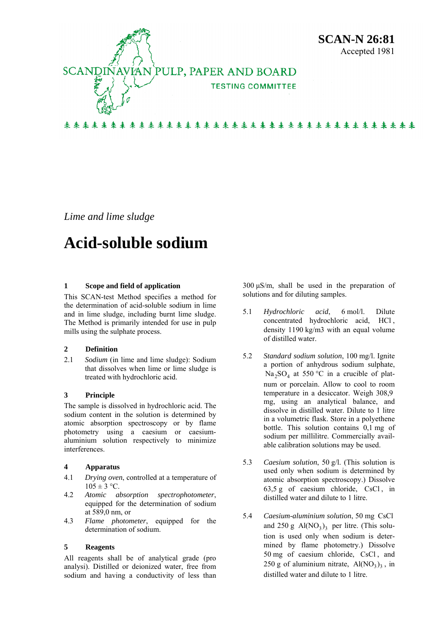

*Lime and lime sludge* 

# **Acid-soluble sodium**

## **1 Scope and field of application**

This SCAN-test Method specifies a method for the determination of acid-soluble sodium in lime and in lime sludge, including burnt lime sludge. The Method is primarily intended for use in pulp mills using the sulphate process.

## **2 Definition**

2.1 *Sodium* (in lime and lime sludge): Sodium that dissolves when lime or lime sludge is treated with hydrochloric acid.

## **3 Principle**

The sample is dissolved in hydrochloric acid. The sodium content in the solution is determined by atomic absorption spectroscopy or by flame photometry using a caesium or caesiumaluminium solution respectively to minimize interferences.

## **4 Apparatus**

- 4.1 *Drying oven*, controlled at a temperature of  $105 \pm 3$  °C.
- 4.2 *Atomic absorption spectrophotometer*, equipped for the determination of sodium at 589,0 nm, or
- 4.3 *Flame photometer*, equipped for the determination of sodium.

## **5 Reagents**

All reagents shall be of analytical grade (pro analysi). Distilled or deionized water, free from sodium and having a conductivity of less than

300 μS/m, shall be used in the preparation of solutions and for diluting samples.

- 5.1 *Hydrochloric acid*, 6 mol/l. Dilute concentrated hydrochloric acid, HCl, density 1190 kg/m3 with an equal volume of distilled water.
- 5.2 *Standard sodium solution*, 100 mg/l. Ignite a portion of anhydrous sodium sulphate,  $Na<sub>2</sub>SO<sub>4</sub>$  at 550 °C in a crucible of platnum or porcelain. Allow to cool to room temperature in a desiccator. Weigh 308,9 mg, using an analytical balance, and dissolve in distilled water. Dilute to 1 litre in a volumetric flask. Store in a polyethene bottle. This solution contains 0,1 mg of sodium per millilitre. Commercially available calibration solutions may be used.
- 5.3 *Caesium solution*, 50 g/l. (This solution is used only when sodium is determined by atomic absorption spectroscopy.) Dissolve  $63,5 \text{ g}$  of caesium chloride, CsCl, in distilled water and dilute to 1 litre.
- 5.4 *Caesium-aluminium solution*, 50 mg CsCl and  $250 \text{ g Al}(\text{NO}_3)_3$  per litre. (This solution is used only when sodium is determined by flame photometry.) Dissolve 50 mg of caesium chloride, CsCl , and 250 g of aluminium nitrate,  $Al(NO<sub>3</sub>)<sub>3</sub>$ , in distilled water and dilute to 1 litre.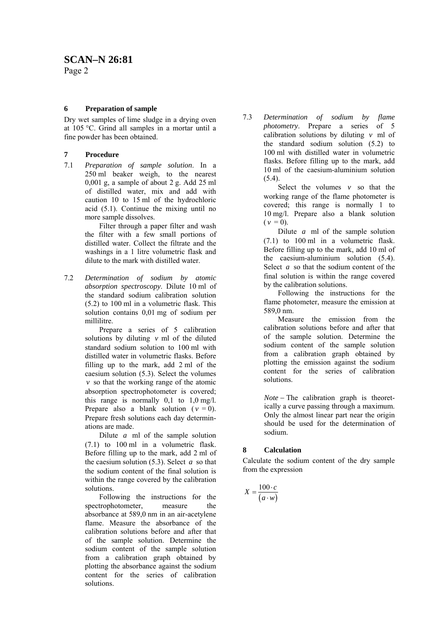# **SCAN–N 26:81**

Page 2

## **6 Preparation of sample**

Dry wet samples of lime sludge in a drying oven at 105 °C. Grind all samples in a mortar until a fine powder has been obtained.

# **7 Procedure**

7.1 *Preparation of sample solution*. In a 250 ml beaker weigh, to the nearest 0,001 g, a sample of about 2 g. Add 25 ml of distilled water, mix and add with caution 10 to 15 ml of the hydrochloric acid (5.1). Continue the mixing until no more sample dissolves.

> Filter through a paper filter and wash the filter with a few small portions of distilled water. Collect the filtrate and the washings in a 1 litre volumetric flask and dilute to the mark with distilled water.

7.2 *Determination of sodium by atomic absorption spectroscopy*. Dilute 10 ml of the standard sodium calibration solution (5.2) to 100 ml in a volumetric flask. This solution contains 0,01 mg of sodium per millilitre.

> Prepare a series of 5 calibration solutions by diluting  $v$  ml of the diluted standard sodium solution to 100 ml with distilled water in volumetric flasks. Before filling up to the mark, add 2 ml of the caesium solution (5.3). Select the volumes  $\nu$  so that the working range of the atomic absorption spectrophotometer is covered; this range is normally  $0,1$  to  $1,0$  mg/l. Prepare also a blank solution ( $v = 0$ ). Prepare fresh solutions each day determinations are made.

> Dilute  $a$  ml of the sample solution (7.1) to 100 ml in a volumetric flask. Before filling up to the mark, add 2 ml of the caesium solution (5.3). Select *a* so that the sodium content of the final solution is within the range covered by the calibration solutions.

Following the instructions for the spectrophotometer, measure the absorbance at 589,0 nm in an air-acetylene flame. Measure the absorbance of the calibration solutions before and after that of the sample solution. Determine the sodium content of the sample solution from a calibration graph obtained by plotting the absorbance against the sodium content for the series of calibration solutions.

7.3 *Determination of sodium by flame photometry*. Prepare a series of 5 calibration solutions by diluting  $v$  ml of the standard sodium solution (5.2) to 100 ml with distilled water in volumetric flasks. Before filling up to the mark, add 10 ml of the caesium-aluminium solution  $(5.4)$ 

> Select the volumes  $v$  so that the working range of the flame photometer is covered; this range is normally 1 to 10 mg/l. Prepare also a blank solution  $(v = 0)$ .

> Dilute  $a$  ml of the sample solution (7.1) to 100 ml in a volumetric flask. Before filling up to the mark, add 10 ml of the caesium-aluminium solution (5.4). Select *a* so that the sodium content of the final solution is within the range covered by the calibration solutions.

> Following the instructions for the flame photometer, measure the emission at 589,0 nm.

> Measure the emission from the calibration solutions before and after that of the sample solution. Determine the sodium content of the sample solution from a calibration graph obtained by plotting the emission against the sodium content for the series of calibration solutions.

*Note* − The calibration graph is theoretically a curve passing through a maximum. Only the almost linear part near the origin should be used for the determination of sodium.

# **8 Calculation**

Calculate the sodium content of the dry sample from the expression

$$
X = \frac{100 \cdot c}{(a \cdot w)}
$$